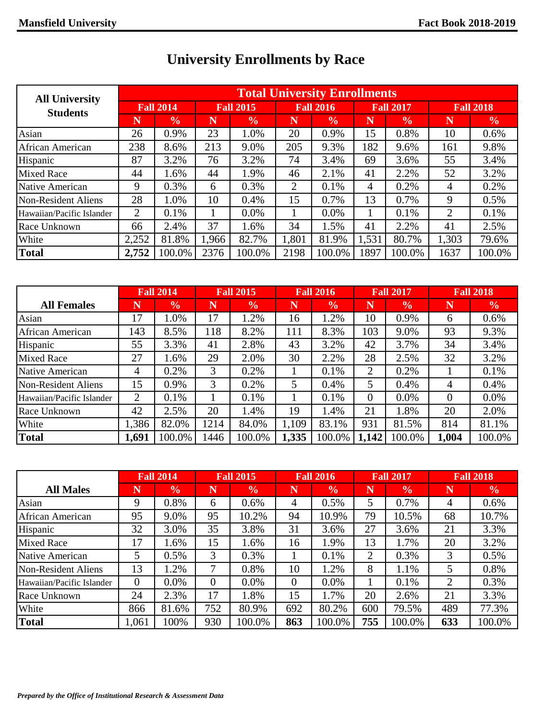| <b>All University</b>     |                  |               |       |                  |                | <b>Total University Enrollments</b> |       |                  |                  |               |
|---------------------------|------------------|---------------|-------|------------------|----------------|-------------------------------------|-------|------------------|------------------|---------------|
| <b>Students</b>           | <b>Fall 2014</b> |               |       | <b>Fall 2015</b> |                | <b>Fall 2016</b>                    |       | <b>Fall 2017</b> | <b>Fall 2018</b> |               |
|                           | N                | $\frac{0}{0}$ | N     | $\frac{0}{0}$    | Ñ              | $\frac{0}{0}$                       | N     | $\frac{0}{0}$    | N                | $\frac{6}{6}$ |
| Asian                     | 26               | 0.9%          | 23    | 1.0%             | 20             | 0.9%                                | 15    | 0.8%             | 10               | 0.6%          |
| African American          | 238              | 8.6%          | 213   | 9.0%             | 205            | 9.3%                                | 182   | 9.6%             | 161              | 9.8%          |
| Hispanic                  | 87               | 3.2%          | 76    | 3.2%             | 74             | 3.4%                                | 69    | 3.6%             | 55               | 3.4%          |
| <b>Mixed Race</b>         | 44               | 1.6%          | 44    | 1.9%             | 46             | 2.1%                                | 41    | 2.2%             | 52               | 3.2%          |
| Native American           | 9                | 0.3%          | 6     | 0.3%             | $\overline{2}$ | 0.1%                                | 4     | 0.2%             | 4                | 0.2%          |
| Non-Resident Aliens       | 28               | 1.0%          | 10    | 0.4%             | 15             | 0.7%                                | 13    | 0.7%             | 9                | 0.5%          |
| Hawaiian/Pacific Islander | 2                | 0.1%          |       | $0.0\%$          |                | 0.0%                                |       | 0.1%             | 2                | 0.1%          |
| Race Unknown              | 66               | 2.4%          | 37    | 1.6%             | 34             | 1.5%                                | 41    | 2.2%             | 41               | 2.5%          |
| White                     | 2,252            | 81.8%         | 1,966 | 82.7%            | 1,801          | 81.9%                               | 1,531 | 80.7%            | 1,303            | 79.6%         |
| <b>Total</b>              | 2,752            | 100.0%        | 2376  | 100.0%           | 2198           | 100.0%                              | 1897  | 100.0%           | 1637             | 100.0%        |

## **University Enrollments by Race**

|                           | <b>Fall 2014</b> |               |      | <b>Fall 2015</b> |                         | <b>Fall 2016</b> |          | <b>Fall 2017</b> | <b>Fall 2018</b> |               |
|---------------------------|------------------|---------------|------|------------------|-------------------------|------------------|----------|------------------|------------------|---------------|
| <b>All Females</b>        |                  | $\frac{0}{0}$ | N    | $\frac{6}{6}$    | $\overline{\textsf{N}}$ | $\frac{6}{6}$    | N        | $\frac{0}{0}$    | N                | $\frac{6}{6}$ |
| Asian                     | 17               | 1.0%          | 17   | 1.2%             | 16                      | 1.2%             | 10       | 0.9%             | 6                | 0.6%          |
| <b>African American</b>   | 143              | 8.5%          | 118  | 8.2%             | 111                     | 8.3%             | 103      | 9.0%             | 93               | 9.3%          |
| Hispanic                  | 55               | 3.3%          | 41   | 2.8%             | 43                      | 3.2%             | 42       | 3.7%             | 34               | 3.4%          |
| Mixed Race                | 27               | 1.6%          | 29   | 2.0%             | 30                      | 2.2%             | 28       | 2.5%             | 32               | 3.2%          |
| Native American           | 4                | 0.2%          | 3    | 0.2%             |                         | 0.1%             | 2        | 0.2%             |                  | 0.1%          |
| Non-Resident Aliens       | 15               | 0.9%          | 3    | 0.2%             | 5                       | 0.4%             | 5        | 0.4%             | 4                | 0.4%          |
| Hawaiian/Pacific Islander | 2                | 0.1%          |      | 0.1%             |                         | 0.1%             | $\theta$ | $0.0\%$          | $\Omega$         | $0.0\%$       |
| Race Unknown              | 42               | 2.5%          | 20   | 1.4%             | 19                      | 1.4%             | 21       | 1.8%             | 20               | 2.0%          |
| White                     | ,386             | 82.0%         | 1214 | 84.0%            | 1,109                   | 83.1%            | 931      | 81.5%            | 814              | 81.1%         |
| <b>Total</b>              | 1,691            | 100.0%        | 446  | 100.0%           | 1,335                   | 100.0%           | 1,142    | 100.0%           | 1,004            | 100.0%        |

|                           | <b>Fall 2014</b> |               | <b>Fall 2015</b> |               | <b>Fall 2016</b> |               | <b>Fall 2017</b> |               | <b>Fall 2018</b> |               |
|---------------------------|------------------|---------------|------------------|---------------|------------------|---------------|------------------|---------------|------------------|---------------|
| <b>All Males</b>          | N                | $\frac{6}{6}$ | N                | $\frac{6}{6}$ | N                | $\frac{6}{6}$ | N                | $\frac{6}{6}$ | N                | $\frac{6}{9}$ |
| Asian                     | 9                | 0.8%          | 6                | 0.6%          | 4                | 0.5%          | 5                | 0.7%          | 4                | 0.6%          |
| African American          | 95               | 9.0%          | 95               | 10.2%         | 94               | 10.9%         | 79               | 10.5%         | 68               | 10.7%         |
| Hispanic                  | 32               | 3.0%          | 35               | 3.8%          | 31               | 3.6%          | 27               | 3.6%          | 21               | 3.3%          |
| <b>Mixed Race</b>         | 17               | 1.6%          | 15               | 1.6%          | 16               | 1.9%          | 13               | 1.7%          | 20               | 3.2%          |
| Native American           | 5                | 0.5%          | 3                | 0.3%          |                  | 0.1%          | $\overline{2}$   | 0.3%          | 3                | 0.5%          |
| Non-Resident Aliens       | 13               | 1.2%          | 7                | 0.8%          | 10               | 1.2%          | 8                | 1.1%          | 5                | 0.8%          |
| Hawaiian/Pacific Islander | $\overline{0}$   | 0.0%          | $\overline{0}$   | $0.0\%$       | 0                | 0.0%          |                  | 0.1%          | $\overline{2}$   | 0.3%          |
| Race Unknown              | 24               | 2.3%          | 17               | 1.8%          | 15               | 1.7%          | 20               | 2.6%          | 21               | 3.3%          |
| White                     | 866              | 81.6%         | 752              | 80.9%         | 692              | 80.2%         | 600              | 79.5%         | 489              | 77.3%         |
| <b>Total</b>              | 1,061            | 100%          | 930              | 100.0%        | 863              | 100.0%        | 755              | 100.0%        | 633              | 100.0%        |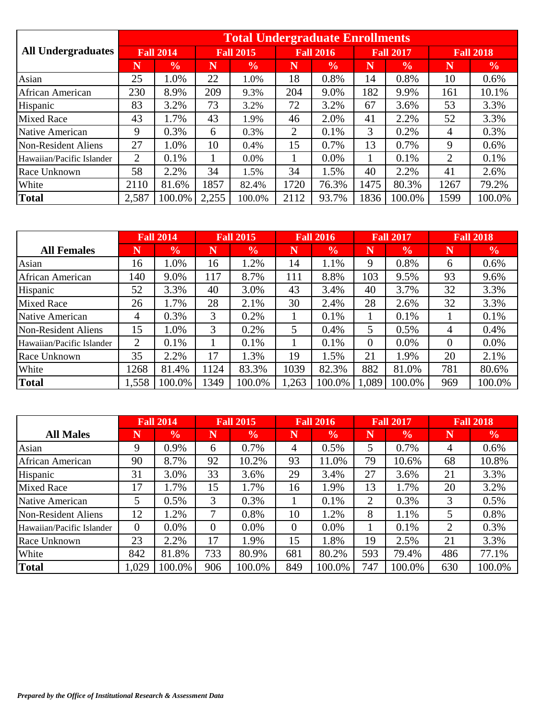|                           |                  |               |       | <b>Total Undergraduate Enrollments</b> |                |                  |      |                  |                  |               |
|---------------------------|------------------|---------------|-------|----------------------------------------|----------------|------------------|------|------------------|------------------|---------------|
| <b>All Undergraduates</b> | <b>Fall 2014</b> |               |       | <b>Fall 2015</b>                       |                | <b>Fall 2016</b> |      | <b>Fall 2017</b> | <b>Fall 2018</b> |               |
|                           | Ñ                | $\frac{0}{0}$ | N     | $\frac{6}{6}$                          | N              | $\frac{6}{6}$    | N    | $\frac{0}{0}$    | N                | $\frac{6}{9}$ |
| Asian                     | 25               | $.0\%$        | 22    | 1.0%                                   | 18             | 0.8%             | 14   | 0.8%             | 10               | 0.6%          |
| African American          | 230              | 8.9%          | 209   | 9.3%                                   | 204            | 9.0%             | 182  | 9.9%             | 161              | 10.1%         |
| Hispanic                  | 83               | 3.2%          | 73    | 3.2%                                   | 72             | 3.2%             | 67   | 3.6%             | 53               | 3.3%          |
| <b>Mixed Race</b>         | 43               | $1.7\%$       | 43    | 1.9%                                   | 46             | 2.0%             | 41   | 2.2%             | 52               | 3.3%          |
| Native American           | 9                | 0.3%          | 6     | 0.3%                                   | $\overline{2}$ | 0.1%             | 3    | 0.2%             | 4                | 0.3%          |
| Non-Resident Aliens       | 27               | $.0\%$        | 10    | 0.4%                                   | 15             | 0.7%             | 13   | 0.7%             | 9                | 0.6%          |
| Hawaiian/Pacific Islander | 2                | 0.1%          |       | 0.0%                                   |                | $0.0\%$          |      | 0.1%             | $\overline{2}$   | 0.1%          |
| Race Unknown              | 58               | 2.2%          | 34    | 1.5%                                   | 34             | 1.5%             | 40   | 2.2%             | 41               | 2.6%          |
| White                     | 2110             | 81.6%         | 1857  | 82.4%                                  | 1720           | 76.3%            | 1475 | 80.3%            | 1267             | 79.2%         |
| <b>Total</b>              | 2,587            | 100.0%        | 2,255 | 100.0%                                 | 2112           | 93.7%            | 1836 | 100.0%           | 1599             | 100.0%        |

|                           |      | <b>Fall 2014</b> |      | <b>Fall 2015</b> |       | <b>Fall 2016</b> |                | <b>Fall 2017</b> | <b>Fall 2018</b> |               |
|---------------------------|------|------------------|------|------------------|-------|------------------|----------------|------------------|------------------|---------------|
| <b>All Females</b>        | N    | $\frac{6}{6}$    | N    | $\frac{6}{6}$    | N     | $\frac{0}{0}$    | N              | $\frac{0}{0}$    | N                | $\frac{6}{6}$ |
| Asian                     | 16   | 1.0%             | 16   | 1.2%             | 14    | 1.1%             | 9              | 0.8%             | 6                | 0.6%          |
| African American          | 140  | 9.0%             | 117  | 8.7%             | 111   | 8.8%             | 103            | 9.5%             | 93               | 9.6%          |
| Hispanic                  | 52   | 3.3%             | 40   | 3.0%             | 43    | 3.4%             | 40             | 3.7%             | 32               | 3.3%          |
| <b>Mixed Race</b>         | 26   | 1.7%             | 28   | 2.1%             | 30    | 2.4%             | 28             | 2.6%             | 32               | 3.3%          |
| Native American           | 4    | 0.3%             | 3    | 0.2%             |       | 0.1%             |                | 0.1%             |                  | 0.1%          |
| Non-Resident Aliens       | 15   | 1.0%             | 3    | 0.2%             | 5     | $0.4\%$          | 5              | 0.5%             | 4                | 0.4%          |
| Hawaiian/Pacific Islander | 2    | 0.1%             |      | 0.1%             |       | 0.1%             | $\overline{0}$ | $0.0\%$          | $\Omega$         | $0.0\%$       |
| Race Unknown              | 35   | 2.2%             | 17   | 1.3%             | 19    | 1.5%             | 21             | 1.9%             | 20               | 2.1%          |
| White                     | 1268 | 81.4%            | 124  | 83.3%            | 1039  | 82.3%            | 882            | 81.0%            | 781              | 80.6%         |
| <b>Total</b>              | .558 | 100.0%           | 1349 | 100.0%           | 1,263 | 100.0%           | 1,089          | 100.0%           | 969              | 100.0%        |

|                           | <b>Fall 2014</b> |               | <b>Fall 2015</b> |               | <b>Fall 2016</b> |               |     | <b>Fall 2017</b> | <b>Fall 2018</b> |               |
|---------------------------|------------------|---------------|------------------|---------------|------------------|---------------|-----|------------------|------------------|---------------|
| <b>All Males</b>          | N                | $\frac{0}{0}$ | N                | $\frac{0}{0}$ | N                | $\frac{0}{0}$ | N   | $\frac{0}{0}$    | N                | $\frac{0}{0}$ |
| Asian                     | 9                | 0.9%          | 6                | 0.7%          | 4                | 0.5%          | 5   | 0.7%             | 4                | 0.6%          |
| African American          | 90               | 8.7%          | 92               | 10.2%         | 93               | 11.0%         | 79  | 10.6%            | 68               | 10.8%         |
| Hispanic                  | 31               | 3.0%          | 33               | 3.6%          | 29               | 3.4%          | 27  | 3.6%             | 21               | 3.3%          |
| <b>Mixed Race</b>         | 17               | $.7\%$        | 15               | 1.7%          | 16               | 1.9%          | 13  | 1.7%             | 20               | 3.2%          |
| Native American           | 5                | 0.5%          | 3                | 0.3%          |                  | 0.1%          | 2   | 0.3%             | 3                | 0.5%          |
| Non-Resident Aliens       | 12               | $.2\%$        | 7                | 0.8%          | 10               | 1.2%          | 8   | 1.1%             | 5                | 0.8%          |
| Hawaiian/Pacific Islander | $\Omega$         | $0.0\%$       | $\overline{0}$   | 0.0%          | 0                | $0.0\%$       |     | 0.1%             | $\overline{2}$   | 0.3%          |
| Race Unknown              | 23               | 2.2%          | 17               | 1.9%          | 15               | 1.8%          | 19  | 2.5%             | 21               | 3.3%          |
| White                     | 842              | 81.8%         | 733              | 80.9%         | 681              | 80.2%         | 593 | 79.4%            | 486              | 77.1%         |
| Total                     | .029             | 100.0%        | 906              | 100.0%        | 849              | 100.0%        | 747 | 100.0%           | 630              | 100.0%        |